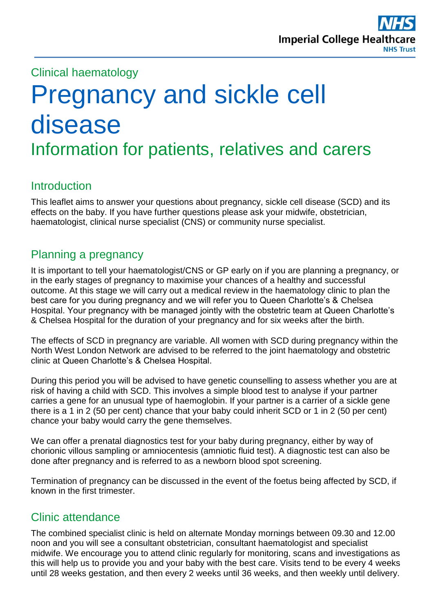

## Clinical haematology

# Pregnancy and sickle cell disease Information for patients, relatives and carers

## **Introduction**

This leaflet aims to answer your questions about pregnancy, sickle cell disease (SCD) and its effects on the baby. If you have further questions please ask your midwife, obstetrician, haematologist, clinical nurse specialist (CNS) or community nurse specialist.

## Planning a pregnancy

It is important to tell your haematologist/CNS or GP early on if you are planning a pregnancy, or in the early stages of pregnancy to maximise your chances of a healthy and successful outcome. At this stage we will carry out a medical review in the haematology clinic to plan the best care for you during pregnancy and we will refer you to Queen Charlotte's & Chelsea Hospital. Your pregnancy with be managed jointly with the obstetric team at Queen Charlotte's & Chelsea Hospital for the duration of your pregnancy and for six weeks after the birth.

The effects of SCD in pregnancy are variable. All women with SCD during pregnancy within the North West London Network are advised to be referred to the joint haematology and obstetric clinic at Queen Charlotte's & Chelsea Hospital.

During this period you will be advised to have genetic counselling to assess whether you are at risk of having a child with SCD. This involves a simple blood test to analyse if your partner carries a gene for an unusual type of haemoglobin. If your partner is a carrier of a sickle gene there is a 1 in 2 (50 per cent) chance that your baby could inherit SCD or 1 in 2 (50 per cent) chance your baby would carry the gene themselves.

We can offer a prenatal diagnostics test for your baby during pregnancy, either by way of chorionic villous sampling or amniocentesis (amniotic fluid test). A diagnostic test can also be done after pregnancy and is referred to as a newborn blood spot screening.

Termination of pregnancy can be discussed in the event of the foetus being affected by SCD, if known in the first trimester.

# Clinic attendance

The combined specialist clinic is held on alternate Monday mornings between 09.30 and 12.00 noon and you will see a consultant obstetrician, consultant haematologist and specialist midwife. We encourage you to attend clinic regularly for monitoring, scans and investigations as this will help us to provide you and your baby with the best care. Visits tend to be every 4 weeks until 28 weeks gestation, and then every 2 weeks until 36 weeks, and then weekly until delivery.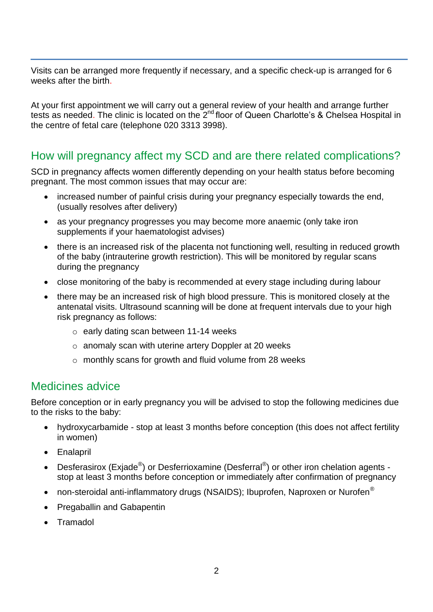Visits can be arranged more frequently if necessary, and a specific check-up is arranged for 6 weeks after the birth.

At your first appointment we will carry out a general review of your health and arrange further tests as needed. The clinic is located on the 2<sup>nd</sup> floor of Queen Charlotte's & Chelsea Hospital in the centre of fetal care (telephone 020 3313 3998).

## How will pregnancy affect my SCD and are there related complications?

SCD in pregnancy affects women differently depending on your health status before becoming pregnant. The most common issues that may occur are:

- increased number of painful crisis during your pregnancy especially towards the end, (usually resolves after delivery)
- as your pregnancy progresses you may become more anaemic (only take iron supplements if your haematologist advises)
- there is an increased risk of the placenta not functioning well, resulting in reduced growth of the baby (intrauterine growth restriction). This will be monitored by regular scans during the pregnancy
- close monitoring of the baby is recommended at every stage including during labour
- there may be an increased risk of high blood pressure. This is monitored closely at the antenatal visits. Ultrasound scanning will be done at frequent intervals due to your high risk pregnancy as follows:
	- o early dating scan between 11-14 weeks
	- o anomaly scan with uterine artery Doppler at 20 weeks
	- o monthly scans for growth and fluid volume from 28 weeks

#### Medicines advice

Before conception or in early pregnancy you will be advised to stop the following medicines due to the risks to the baby:

- hydroxycarbamide stop at least 3 months before conception (this does not affect fertility in women)
- Enalapril
- Desferasirox (Exjade®) or Desferrioxamine (Desferral®) or other iron chelation agents stop at least 3 months before conception or immediately after confirmation of pregnancy
- non-steroidal anti-inflammatory drugs (NSAIDS); Ibuprofen, Naproxen or Nurofen<sup>®</sup>
- Pregaballin and Gabapentin
- Tramadol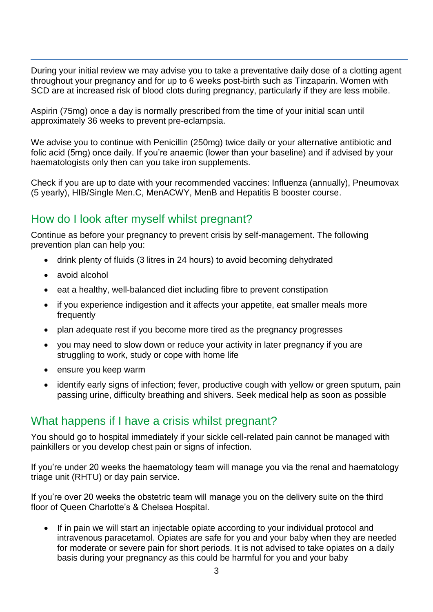During your initial review we may advise you to take a preventative daily dose of a clotting agent throughout your pregnancy and for up to 6 weeks post-birth such as Tinzaparin. Women with SCD are at increased risk of blood clots during pregnancy, particularly if they are less mobile.

Aspirin (75mg) once a day is normally prescribed from the time of your initial scan until approximately 36 weeks to prevent pre-eclampsia.

We advise you to continue with Penicillin (250mg) twice daily or your alternative antibiotic and folic acid (5mg) once daily. If you're anaemic (lower than your baseline) and if advised by your haematologists only then can you take iron supplements.

Check if you are up to date with your recommended vaccines: Influenza (annually), Pneumovax (5 yearly), HIB/Single Men.C, MenACWY, MenB and Hepatitis B booster course.

## How do I look after myself whilst pregnant?

Continue as before your pregnancy to prevent crisis by self-management. The following prevention plan can help you:

- drink plenty of fluids (3 litres in 24 hours) to avoid becoming dehydrated
- avoid alcohol
- eat a healthy, well-balanced diet including fibre to prevent constipation
- if you experience indigestion and it affects your appetite, eat smaller meals more frequently
- plan adequate rest if you become more tired as the pregnancy progresses
- you may need to slow down or reduce your activity in later pregnancy if you are struggling to work, study or cope with home life
- ensure you keep warm
- identify early signs of infection; fever, productive cough with yellow or green sputum, pain passing urine, difficulty breathing and shivers. Seek medical help as soon as possible

#### What happens if I have a crisis whilst pregnant?

You should go to hospital immediately if your sickle cell-related pain cannot be managed with painkillers or you develop chest pain or signs of infection.

If you're under 20 weeks the haematology team will manage you via the renal and haematology triage unit (RHTU) or day pain service.

If you're over 20 weeks the obstetric team will manage you on the delivery suite on the third floor of Queen Charlotte's & Chelsea Hospital.

• If in pain we will start an injectable opiate according to your individual protocol and intravenous paracetamol. Opiates are safe for you and your baby when they are needed for moderate or severe pain for short periods. It is not advised to take opiates on a daily basis during your pregnancy as this could be harmful for you and your baby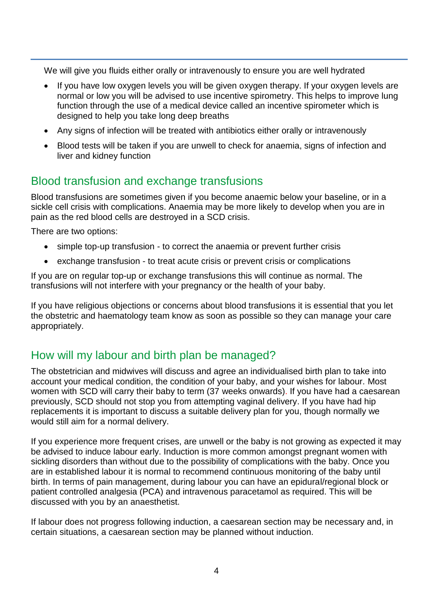We will give you fluids either orally or intravenously to ensure you are well hydrated

- If you have low oxygen levels you will be given oxygen therapy. If your oxygen levels are normal or low you will be advised to use incentive spirometry. This helps to improve lung function through the use of a medical device called an incentive spirometer which is designed to help you take long deep breaths
- Any signs of infection will be treated with antibiotics either orally or intravenously
- Blood tests will be taken if you are unwell to check for anaemia, signs of infection and liver and kidney function

## Blood transfusion and exchange transfusions

Blood transfusions are sometimes given if you become anaemic below your baseline, or in a sickle cell crisis with complications. Anaemia may be more likely to develop when you are in pain as the red blood cells are destroyed in a SCD crisis.

There are two options:

- simple top-up transfusion to correct the anaemia or prevent further crisis
- exchange transfusion to treat acute crisis or prevent crisis or complications

If you are on regular top-up or exchange transfusions this will continue as normal. The transfusions will not interfere with your pregnancy or the health of your baby.

If you have religious objections or concerns about blood transfusions it is essential that you let the obstetric and haematology team know as soon as possible so they can manage your care appropriately.

## How will my labour and birth plan be managed?

The obstetrician and midwives will discuss and agree an individualised birth plan to take into account your medical condition, the condition of your baby, and your wishes for labour. Most women with SCD will carry their baby to term (37 weeks onwards). If you have had a caesarean previously, SCD should not stop you from attempting vaginal delivery. If you have had hip replacements it is important to discuss a suitable delivery plan for you, though normally we would still aim for a normal delivery.

If you experience more frequent crises, are unwell or the baby is not growing as expected it may be advised to induce labour early. Induction is more common amongst pregnant women with sickling disorders than without due to the possibility of complications with the baby. Once you are in established labour it is normal to recommend continuous monitoring of the baby until birth. In terms of pain management, during labour you can have an epidural/regional block or patient controlled analgesia (PCA) and intravenous paracetamol as required. This will be discussed with you by an anaesthetist.

If labour does not progress following induction, a caesarean section may be necessary and, in certain situations, a caesarean section may be planned without induction.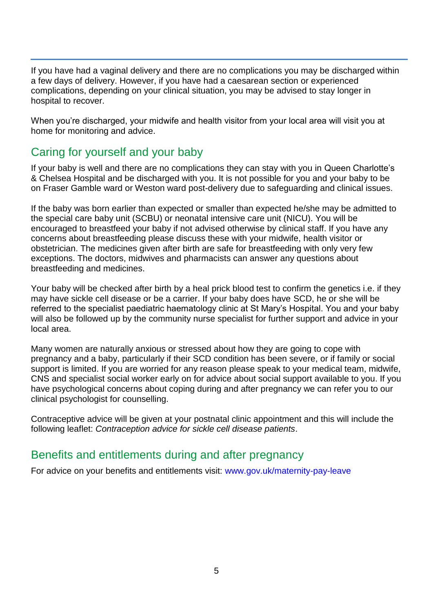If you have had a vaginal delivery and there are no complications you may be discharged within a few days of delivery. However, if you have had a caesarean section or experienced complications, depending on your clinical situation, you may be advised to stay longer in hospital to recover.

When you're discharged, your midwife and health visitor from your local area will visit you at home for monitoring and advice.

## Caring for yourself and your baby

If your baby is well and there are no complications they can stay with you in Queen Charlotte's & Chelsea Hospital and be discharged with you. It is not possible for you and your baby to be on Fraser Gamble ward or Weston ward post-delivery due to safeguarding and clinical issues.

If the baby was born earlier than expected or smaller than expected he/she may be admitted to the special care baby unit (SCBU) or neonatal intensive care unit (NICU). You will be encouraged to breastfeed your baby if not advised otherwise by clinical staff. If you have any concerns about breastfeeding please discuss these with your midwife, health visitor or obstetrician. The medicines given after birth are safe for breastfeeding with only very few exceptions. The doctors, midwives and pharmacists can answer any questions about breastfeeding and medicines.

Your baby will be checked after birth by a heal prick blood test to confirm the genetics i.e. if they may have sickle cell disease or be a carrier. If your baby does have SCD, he or she will be referred to the specialist paediatric haematology clinic at St Mary's Hospital. You and your baby will also be followed up by the community nurse specialist for further support and advice in your local area.

Many women are naturally anxious or stressed about how they are going to cope with pregnancy and a baby, particularly if their SCD condition has been severe, or if family or social support is limited. If you are worried for any reason please speak to your medical team, midwife, CNS and specialist social worker early on for advice about social support available to you. If you have psychological concerns about coping during and after pregnancy we can refer you to our clinical psychologist for counselling.

Contraceptive advice will be given at your postnatal clinic appointment and this will include the following leaflet: *Contraception advice for sickle cell disease patients*.

## Benefits and entitlements during and after pregnancy

For advice on your benefits and entitlements visit: [www.gov.uk/maternity-pay-leave](http://www.gov.uk/maternity-pay-leave)